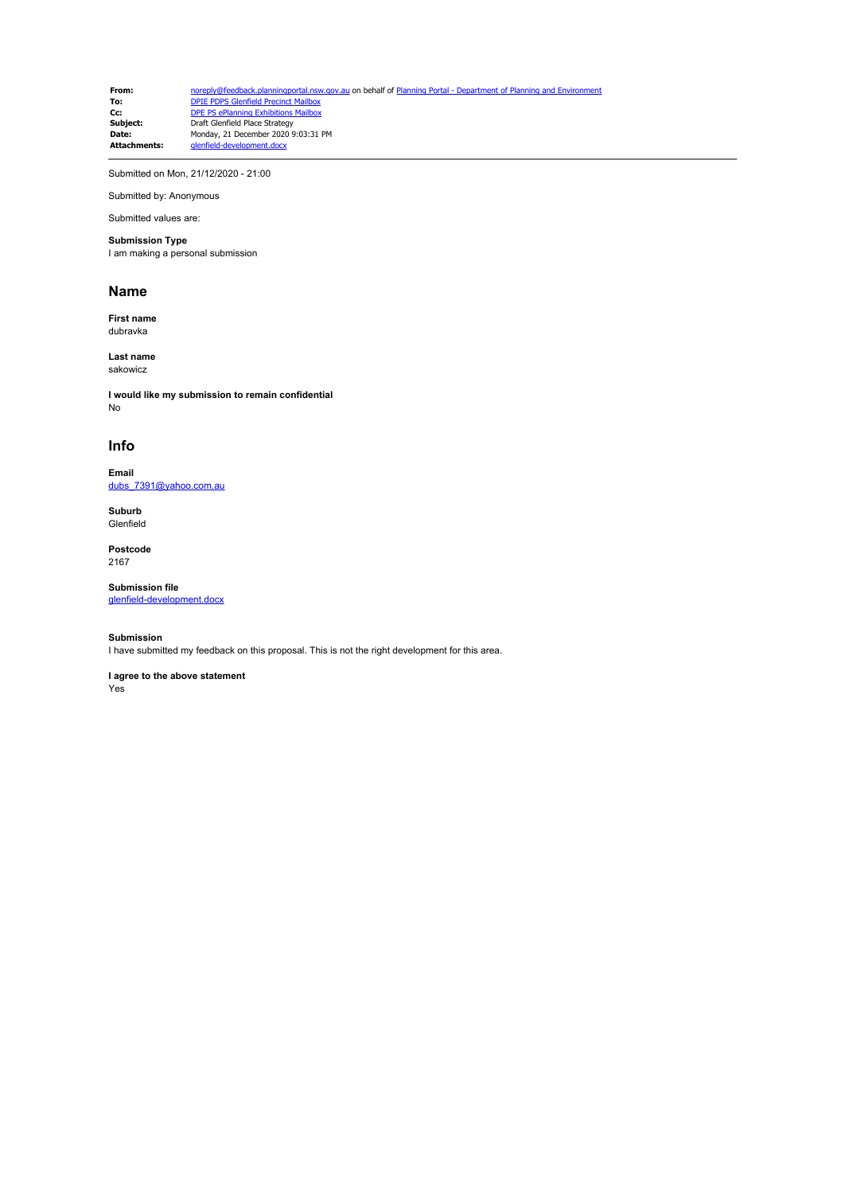**From:** [noreply@feedback.planningportal.nsw.gov.au](mailto:noreply@feedback.planningportal.nsw.gov.au) on behalf of Planning Portal - Department of Planning and Envir<br> **To:** DPIE PDPS Glenfield Precinct Mailbox **To:** [DPIE PDPS Glenfield Precinct Mailbox](mailto:glenfield.precinct@planning.nsw.gov.au)<br> **Cc:** [DPE PS ePlanning Exhibitions Mailbox](mailto:eplanning.exhibitions@planning.nsw.gov.au) **Subject:** Draft Glenfield Place Strategy **Date:** Monday, 21 December 2020 9:03:31 PM **Attachments:** glenfield-development.docx

Submitted on Mon, 21/12/2020 - 21:00

Submitted by: Anonymous Submitted values are:

## **Submission Type**

I am making a personal submission

## **Name**

**First name** dubravka

**Last name** sakowicz

**I would like my submission to remain confidential** No

## **Info**

**Email** [dubs\\_7391@yahoo.com.au](mailto:dubs_7391@yahoo.com.au)

**Suburb Glenfield** 

**Postcode** 2167

**Submission file** [glenfield-development.docx](https://pp.planningportal.nsw.gov.au/system/files/webform/draft_plans_glenfield/115576/glenfield-development.docx)

## **Submission**

I have submitted my feedback on this proposal. This is not the right development for this area.

**I agree to the above statement** Yes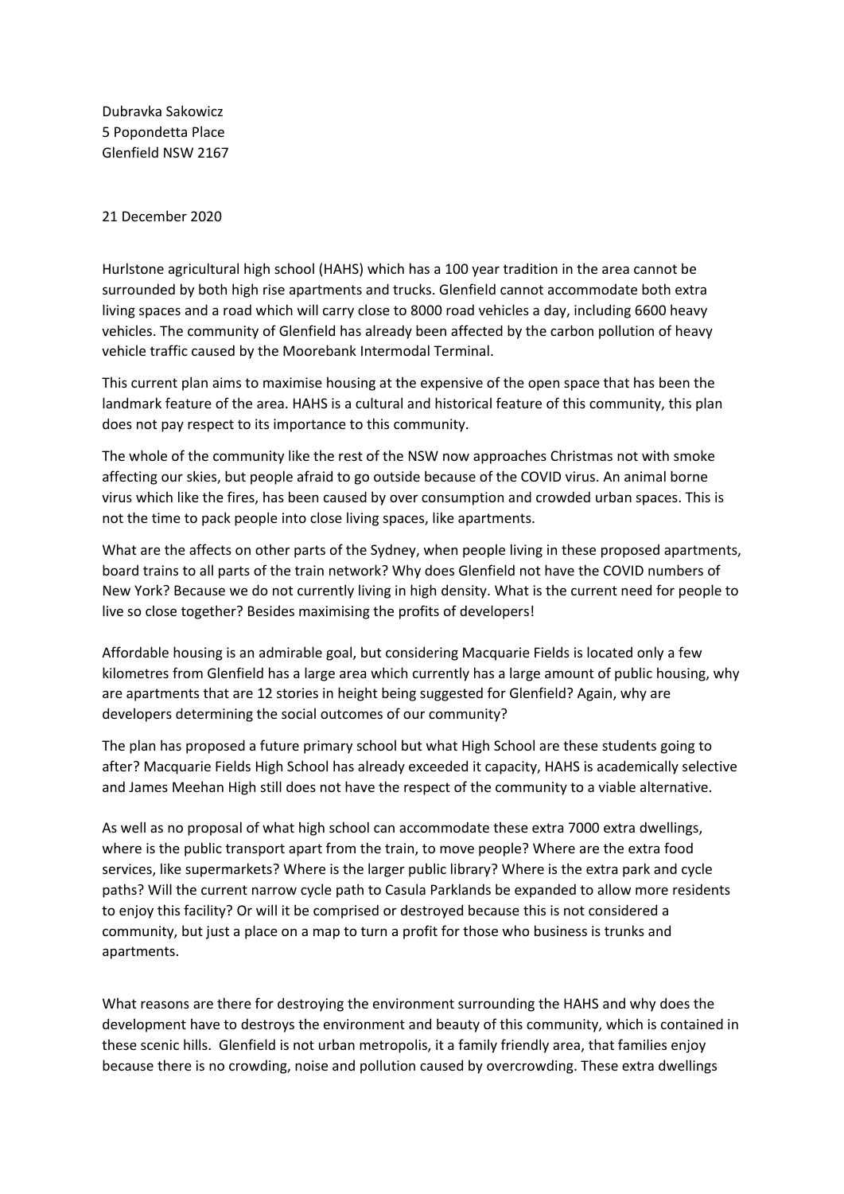Dubravka Sakowicz 5 Popondetta Place Glenfield NSW 2167

21 December 2020

Hurlstone agricultural high school (HAHS) which has a 100 year tradition in the area cannot be surrounded by both high rise apartments and trucks. Glenfield cannot accommodate both extra living spaces and a road which will carry close to 8000 road vehicles a day, including 6600 heavy vehicles. The community of Glenfield has already been affected by the carbon pollution of heavy vehicle traffic caused by the Moorebank Intermodal Terminal.

This current plan aims to maximise housing at the expensive of the open space that has been the landmark feature of the area. HAHS is a cultural and historical feature of this community, this plan does not pay respect to its importance to this community.

The whole of the community like the rest of the NSW now approaches Christmas not with smoke affecting our skies, but people afraid to go outside because of the COVID virus. An animal borne virus which like the fires, has been caused by over consumption and crowded urban spaces. This is not the time to pack people into close living spaces, like apartments.

What are the affects on other parts of the Sydney, when people living in these proposed apartments, board trains to all parts of the train network? Why does Glenfield not have the COVID numbers of New York? Because we do not currently living in high density. What is the current need for people to live so close together? Besides maximising the profits of developers!

Affordable housing is an admirable goal, but considering Macquarie Fields is located only a few kilometres from Glenfield has a large area which currently has a large amount of public housing, why are apartments that are 12 stories in height being suggested for Glenfield? Again, why are developers determining the social outcomes of our community?

The plan has proposed a future primary school but what High School are these students going to after? Macquarie Fields High School has already exceeded it capacity, HAHS is academically selective and James Meehan High still does not have the respect of the community to a viable alternative.

As well as no proposal of what high school can accommodate these extra 7000 extra dwellings, where is the public transport apart from the train, to move people? Where are the extra food services, like supermarkets? Where is the larger public library? Where is the extra park and cycle paths? Will the current narrow cycle path to Casula Parklands be expanded to allow more residents to enjoy this facility? Or will it be comprised or destroyed because this is not considered a community, but just a place on a map to turn a profit for those who business is trunks and apartments.

What reasons are there for destroying the environment surrounding the HAHS and why does the development have to destroys the environment and beauty of this community, which is contained in these scenic hills. Glenfield is not urban metropolis, it a family friendly area, that families enjoy because there is no crowding, noise and pollution caused by overcrowding. These extra dwellings